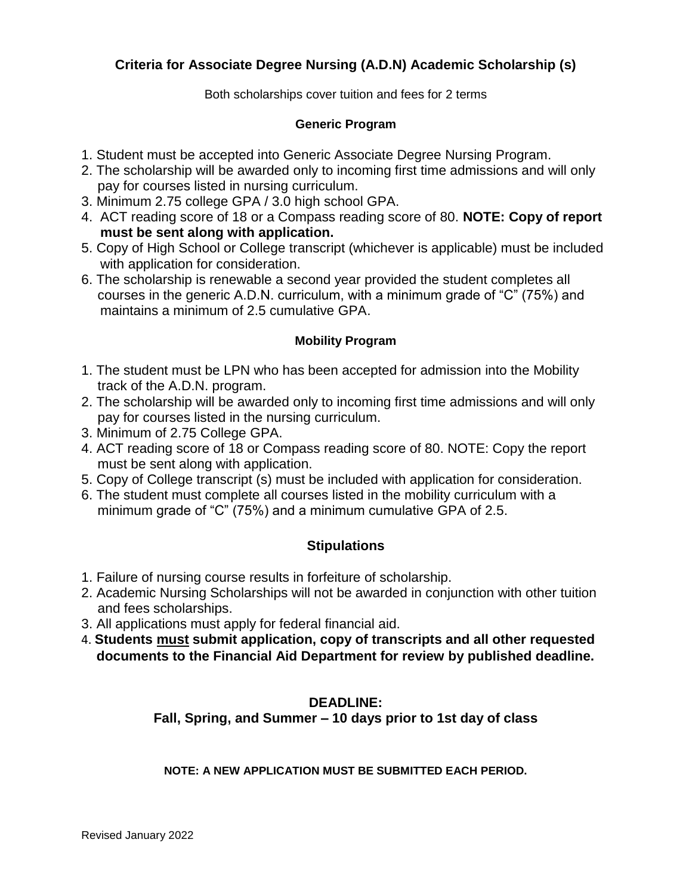## **Criteria for Associate Degree Nursing (A.D.N) Academic Scholarship (s)**

Both scholarships cover tuition and fees for 2 terms

#### **Generic Program**

- 1. Student must be accepted into Generic Associate Degree Nursing Program.
- 2. The scholarship will be awarded only to incoming first time admissions and will only pay for courses listed in nursing curriculum.
- 3. Minimum 2.75 college GPA / 3.0 high school GPA.
- 4. ACT reading score of 18 or a Compass reading score of 80. **NOTE: Copy of report must be sent along with application.**
- 5. Copy of High School or College transcript (whichever is applicable) must be included with application for consideration.
- 6. The scholarship is renewable a second year provided the student completes all courses in the generic A.D.N. curriculum, with a minimum grade of "C" (75%) and maintains a minimum of 2.5 cumulative GPA.

#### **Mobility Program**

- 1. The student must be LPN who has been accepted for admission into the Mobility track of the A.D.N. program.
- 2. The scholarship will be awarded only to incoming first time admissions and will only pay for courses listed in the nursing curriculum.
- 3. Minimum of 2.75 College GPA.
- 4. ACT reading score of 18 or Compass reading score of 80. NOTE: Copy the report must be sent along with application.
- 5. Copy of College transcript (s) must be included with application for consideration.
- 6. The student must complete all courses listed in the mobility curriculum with a minimum grade of "C" (75%) and a minimum cumulative GPA of 2.5.

## **Stipulations**

- 1. Failure of nursing course results in forfeiture of scholarship.
- 2. Academic Nursing Scholarships will not be awarded in conjunction with other tuition and fees scholarships.
- 3. All applications must apply for federal financial aid.
- 4. **Students must submit application, copy of transcripts and all other requested documents to the Financial Aid Department for review by published deadline.**

### **DEADLINE:**

**Fall, Spring, and Summer – 10 days prior to 1st day of class**

**NOTE: A NEW APPLICATION MUST BE SUBMITTED EACH PERIOD.**